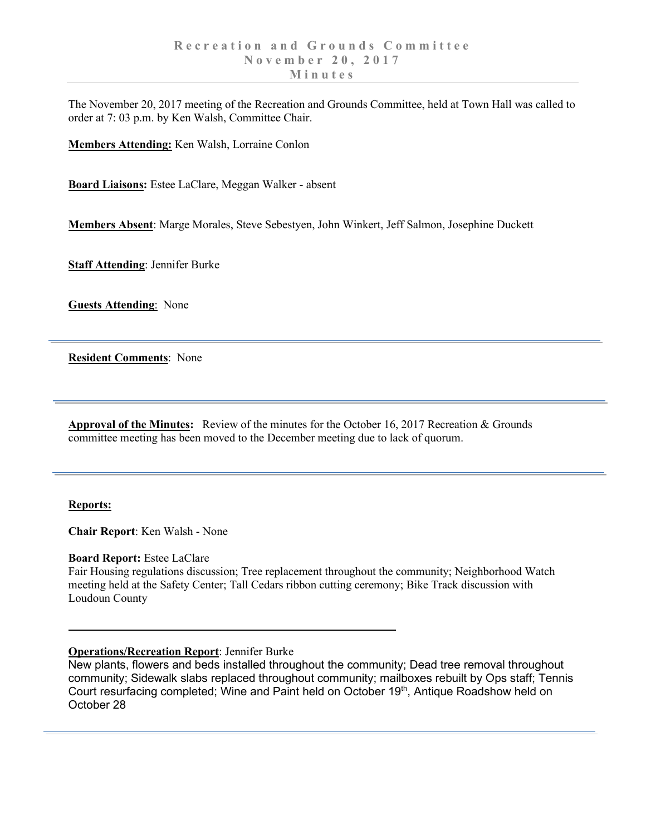The November 20, 2017 meeting of the Recreation and Grounds Committee, held at Town Hall was called to order at 7: 03 p.m. by Ken Walsh, Committee Chair.

**Members Attending:** Ken Walsh, Lorraine Conlon

**Board Liaisons:** Estee LaClare, Meggan Walker - absent

**Members Absent**: Marge Morales, Steve Sebestyen, John Winkert, Jeff Salmon, Josephine Duckett

**Staff Attending**: Jennifer Burke

**Guests Attending**: None

**Resident Comments**: None

**Approval of the Minutes:** Review of the minutes for the October 16, 2017 Recreation & Grounds committee meeting has been moved to the December meeting due to lack of quorum.

### **Reports:**

**Chair Report**: Ken Walsh - None

### **Board Report:** Estee LaClare

Fair Housing regulations discussion; Tree replacement throughout the community; Neighborhood Watch meeting held at the Safety Center; Tall Cedars ribbon cutting ceremony; Bike Track discussion with Loudoun County

## **Operations/Recreation Report**: Jennifer Burke

New plants, flowers and beds installed throughout the community; Dead tree removal throughout community; Sidewalk slabs replaced throughout community; mailboxes rebuilt by Ops staff; Tennis Court resurfacing completed; Wine and Paint held on October 19<sup>th</sup>, Antique Roadshow held on October 28